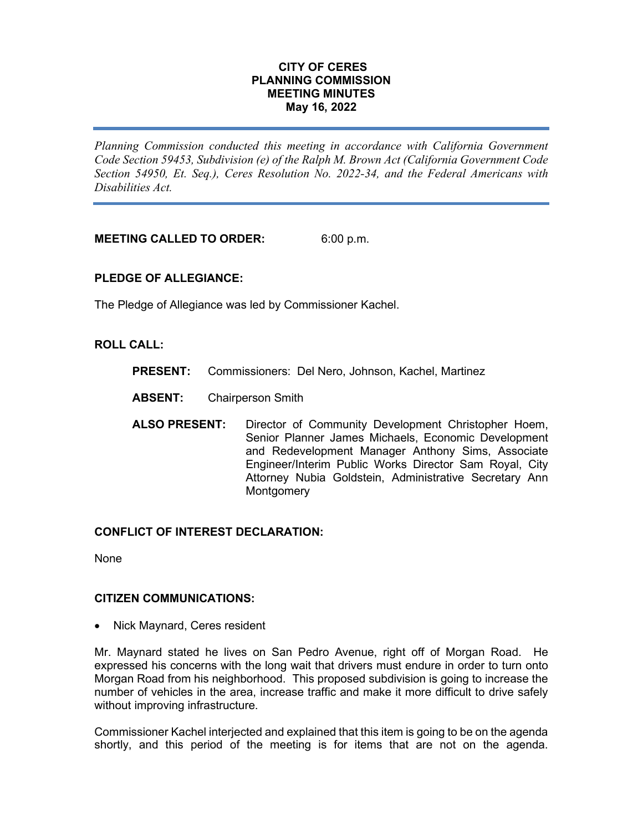## **CITY OF CERES PLANNING COMMISSION MEETING MINUTES May 16, 2022**

*Planning Commission conducted this meeting in accordance with California Government Code Section 59453, Subdivision (e) of the Ralph M. Brown Act (California Government Code Section 54950, Et. Seq.), Ceres Resolution No. 2022-34, and the Federal Americans with Disabilities Act.*

**MEETING CALLED TO ORDER:** 6:00 p.m.

# **PLEDGE OF ALLEGIANCE:**

The Pledge of Allegiance was led by Commissioner Kachel.

## **ROLL CALL:**

- **PRESENT:** Commissioners: Del Nero, Johnson, Kachel, Martinez
- **ABSENT:** Chairperson Smith
- **ALSO PRESENT:** Director of Community Development Christopher Hoem, Senior Planner James Michaels, Economic Development and Redevelopment Manager Anthony Sims, Associate Engineer/Interim Public Works Director Sam Royal, City Attorney Nubia Goldstein, Administrative Secretary Ann **Montgomery**

# **CONFLICT OF INTEREST DECLARATION:**

None

## **CITIZEN COMMUNICATIONS:**

• Nick Maynard, Ceres resident

Mr. Maynard stated he lives on San Pedro Avenue, right off of Morgan Road. He expressed his concerns with the long wait that drivers must endure in order to turn onto Morgan Road from his neighborhood. This proposed subdivision is going to increase the number of vehicles in the area, increase traffic and make it more difficult to drive safely without improving infrastructure.

Commissioner Kachel interjected and explained that this item is going to be on the agenda shortly, and this period of the meeting is for items that are not on the agenda.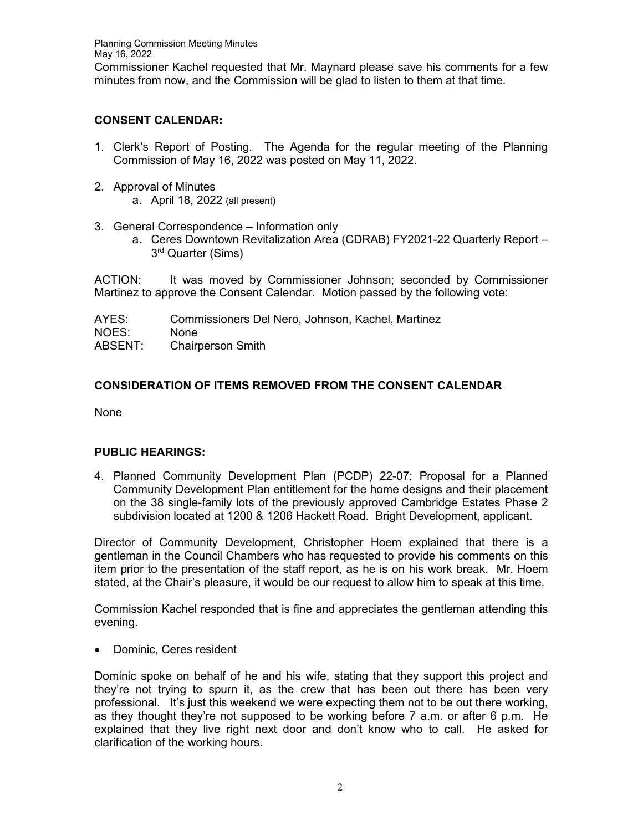# **CONSENT CALENDAR:**

- 1. Clerk's Report of Posting. The Agenda for the regular meeting of the Planning Commission of May 16, 2022 was posted on May 11, 2022.
- 2. Approval of Minutes
	- a. April 18, 2022 (all present)
- 3. General Correspondence Information only
	- a. Ceres Downtown Revitalization Area (CDRAB) FY2021-22 Quarterly Report 3rd Quarter (Sims)

ACTION: It was moved by Commissioner Johnson; seconded by Commissioner Martinez to approve the Consent Calendar. Motion passed by the following vote:

AYES: Commissioners Del Nero, Johnson, Kachel, Martinez NOES: None ABSENT: Chairperson Smith

# **CONSIDERATION OF ITEMS REMOVED FROM THE CONSENT CALENDAR**

None

# **PUBLIC HEARINGS:**

4. Planned Community Development Plan (PCDP) 22-07; Proposal for a Planned Community Development Plan entitlement for the home designs and their placement on the 38 single-family lots of the previously approved Cambridge Estates Phase 2 subdivision located at 1200 & 1206 Hackett Road. Bright Development, applicant.

Director of Community Development, Christopher Hoem explained that there is a gentleman in the Council Chambers who has requested to provide his comments on this item prior to the presentation of the staff report, as he is on his work break. Mr. Hoem stated, at the Chair's pleasure, it would be our request to allow him to speak at this time.

Commission Kachel responded that is fine and appreciates the gentleman attending this evening.

• Dominic, Ceres resident

Dominic spoke on behalf of he and his wife, stating that they support this project and they're not trying to spurn it, as the crew that has been out there has been very professional. It's just this weekend we were expecting them not to be out there working, as they thought they're not supposed to be working before 7 a.m. or after 6 p.m. He explained that they live right next door and don't know who to call. He asked for clarification of the working hours.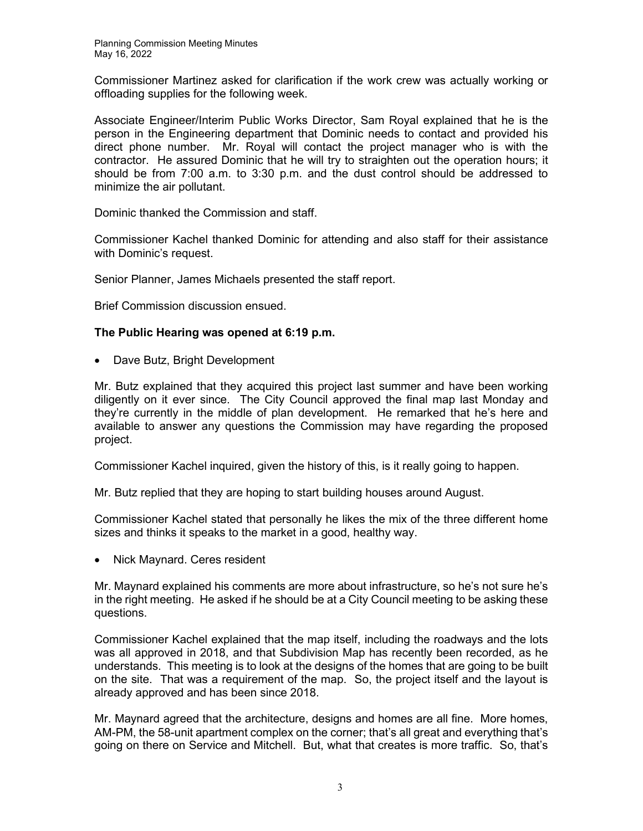Commissioner Martinez asked for clarification if the work crew was actually working or offloading supplies for the following week.

Associate Engineer/Interim Public Works Director, Sam Royal explained that he is the person in the Engineering department that Dominic needs to contact and provided his direct phone number. Mr. Royal will contact the project manager who is with the contractor. He assured Dominic that he will try to straighten out the operation hours; it should be from 7:00 a.m. to 3:30 p.m. and the dust control should be addressed to minimize the air pollutant.

Dominic thanked the Commission and staff.

Commissioner Kachel thanked Dominic for attending and also staff for their assistance with Dominic's request.

Senior Planner, James Michaels presented the staff report.

Brief Commission discussion ensued.

## **The Public Hearing was opened at 6:19 p.m.**

• Dave Butz, Bright Development

Mr. Butz explained that they acquired this project last summer and have been working diligently on it ever since. The City Council approved the final map last Monday and they're currently in the middle of plan development. He remarked that he's here and available to answer any questions the Commission may have regarding the proposed project.

Commissioner Kachel inquired, given the history of this, is it really going to happen.

Mr. Butz replied that they are hoping to start building houses around August.

Commissioner Kachel stated that personally he likes the mix of the three different home sizes and thinks it speaks to the market in a good, healthy way.

• Nick Maynard. Ceres resident

Mr. Maynard explained his comments are more about infrastructure, so he's not sure he's in the right meeting. He asked if he should be at a City Council meeting to be asking these questions.

Commissioner Kachel explained that the map itself, including the roadways and the lots was all approved in 2018, and that Subdivision Map has recently been recorded, as he understands. This meeting is to look at the designs of the homes that are going to be built on the site. That was a requirement of the map. So, the project itself and the layout is already approved and has been since 2018.

Mr. Maynard agreed that the architecture, designs and homes are all fine. More homes, AM-PM, the 58-unit apartment complex on the corner; that's all great and everything that's going on there on Service and Mitchell. But, what that creates is more traffic. So, that's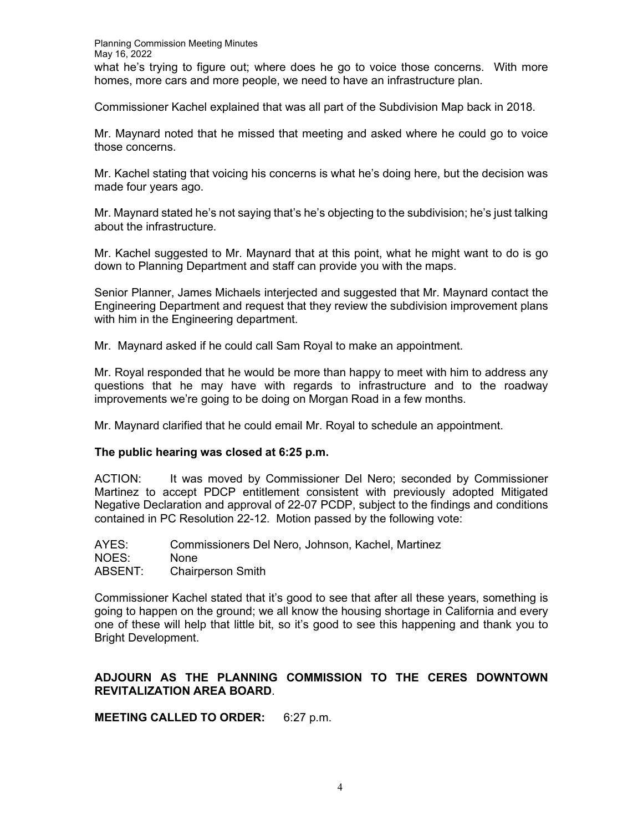Commissioner Kachel explained that was all part of the Subdivision Map back in 2018.

Mr. Maynard noted that he missed that meeting and asked where he could go to voice those concerns.

Mr. Kachel stating that voicing his concerns is what he's doing here, but the decision was made four years ago.

Mr. Maynard stated he's not saying that's he's objecting to the subdivision; he's just talking about the infrastructure.

Mr. Kachel suggested to Mr. Maynard that at this point, what he might want to do is go down to Planning Department and staff can provide you with the maps.

Senior Planner, James Michaels interjected and suggested that Mr. Maynard contact the Engineering Department and request that they review the subdivision improvement plans with him in the Engineering department.

Mr. Maynard asked if he could call Sam Royal to make an appointment.

Mr. Royal responded that he would be more than happy to meet with him to address any questions that he may have with regards to infrastructure and to the roadway improvements we're going to be doing on Morgan Road in a few months.

Mr. Maynard clarified that he could email Mr. Royal to schedule an appointment.

# **The public hearing was closed at 6:25 p.m.**

ACTION: It was moved by Commissioner Del Nero; seconded by Commissioner Martinez to accept PDCP entitlement consistent with previously adopted Mitigated Negative Declaration and approval of 22-07 PCDP, subject to the findings and conditions contained in PC Resolution 22-12. Motion passed by the following vote:

| AYES:   | Commissioners Del Nero, Johnson, Kachel, Martinez |
|---------|---------------------------------------------------|
| NOES:   | <b>None</b>                                       |
| ABSENT: | <b>Chairperson Smith</b>                          |

Commissioner Kachel stated that it's good to see that after all these years, something is going to happen on the ground; we all know the housing shortage in California and every one of these will help that little bit, so it's good to see this happening and thank you to Bright Development.

# **ADJOURN AS THE PLANNING COMMISSION TO THE CERES DOWNTOWN REVITALIZATION AREA BOARD**.

**MEETING CALLED TO ORDER:** 6:27 p.m.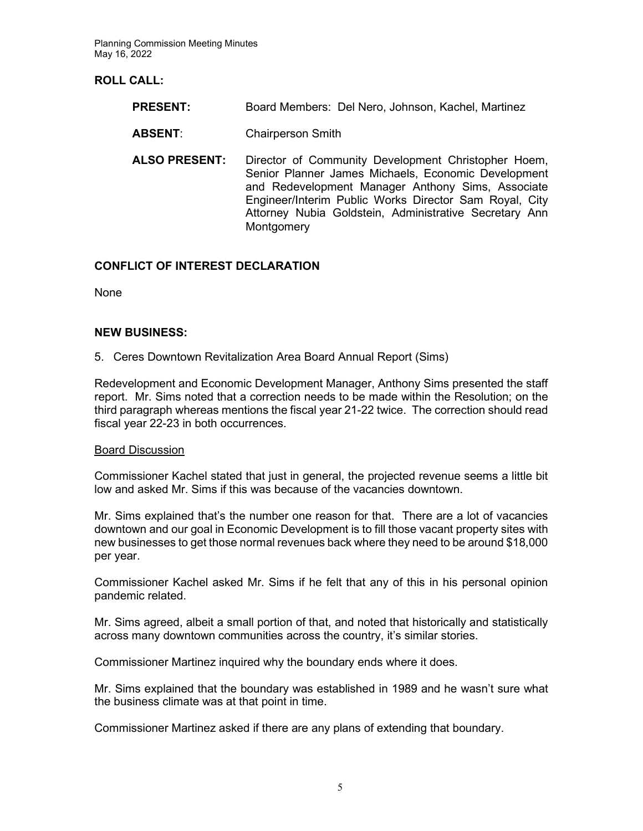Planning Commission Meeting Minutes May 16, 2022

# **ROLL CALL:**

- **PRESENT:** Board Members: Del Nero, Johnson, Kachel, Martinez
- **ABSENT**: Chairperson Smith
- **ALSO PRESENT:** Director of Community Development Christopher Hoem, Senior Planner James Michaels, Economic Development and Redevelopment Manager Anthony Sims, Associate Engineer/Interim Public Works Director Sam Royal, City Attorney Nubia Goldstein, Administrative Secretary Ann **Montgomery**

## **CONFLICT OF INTEREST DECLARATION**

None

## **NEW BUSINESS:**

5. Ceres Downtown Revitalization Area Board Annual Report (Sims)

Redevelopment and Economic Development Manager, Anthony Sims presented the staff report. Mr. Sims noted that a correction needs to be made within the Resolution; on the third paragraph whereas mentions the fiscal year 21-22 twice. The correction should read fiscal year 22-23 in both occurrences.

## Board Discussion

Commissioner Kachel stated that just in general, the projected revenue seems a little bit low and asked Mr. Sims if this was because of the vacancies downtown.

Mr. Sims explained that's the number one reason for that. There are a lot of vacancies downtown and our goal in Economic Development is to fill those vacant property sites with new businesses to get those normal revenues back where they need to be around \$18,000 per year.

Commissioner Kachel asked Mr. Sims if he felt that any of this in his personal opinion pandemic related.

Mr. Sims agreed, albeit a small portion of that, and noted that historically and statistically across many downtown communities across the country, it's similar stories.

Commissioner Martinez inquired why the boundary ends where it does.

Mr. Sims explained that the boundary was established in 1989 and he wasn't sure what the business climate was at that point in time.

Commissioner Martinez asked if there are any plans of extending that boundary.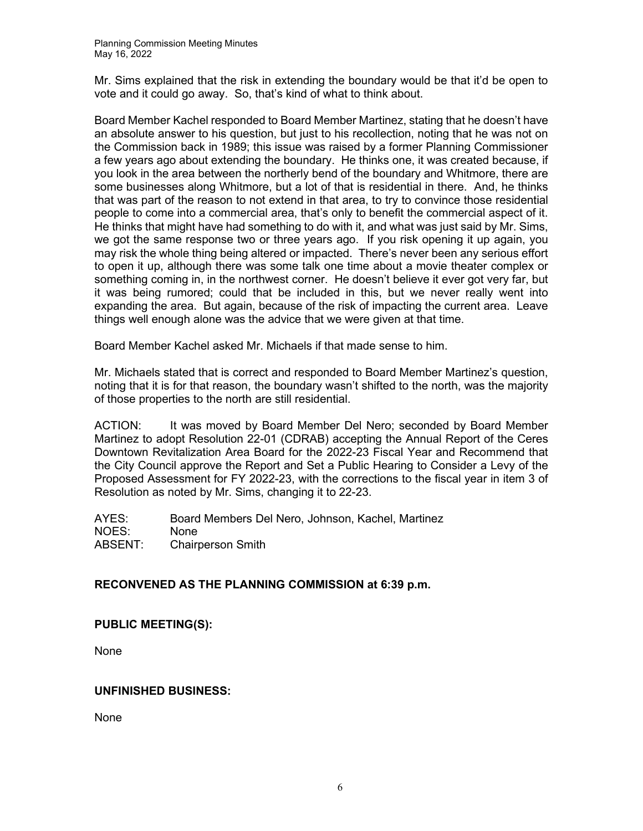Mr. Sims explained that the risk in extending the boundary would be that it'd be open to vote and it could go away. So, that's kind of what to think about.

Board Member Kachel responded to Board Member Martinez, stating that he doesn't have an absolute answer to his question, but just to his recollection, noting that he was not on the Commission back in 1989; this issue was raised by a former Planning Commissioner a few years ago about extending the boundary. He thinks one, it was created because, if you look in the area between the northerly bend of the boundary and Whitmore, there are some businesses along Whitmore, but a lot of that is residential in there. And, he thinks that was part of the reason to not extend in that area, to try to convince those residential people to come into a commercial area, that's only to benefit the commercial aspect of it. He thinks that might have had something to do with it, and what was just said by Mr. Sims, we got the same response two or three years ago. If you risk opening it up again, you may risk the whole thing being altered or impacted. There's never been any serious effort to open it up, although there was some talk one time about a movie theater complex or something coming in, in the northwest corner. He doesn't believe it ever got very far, but it was being rumored; could that be included in this, but we never really went into expanding the area. But again, because of the risk of impacting the current area. Leave things well enough alone was the advice that we were given at that time.

Board Member Kachel asked Mr. Michaels if that made sense to him.

Mr. Michaels stated that is correct and responded to Board Member Martinez's question, noting that it is for that reason, the boundary wasn't shifted to the north, was the majority of those properties to the north are still residential.

ACTION: It was moved by Board Member Del Nero; seconded by Board Member Martinez to adopt Resolution 22-01 (CDRAB) accepting the Annual Report of the Ceres Downtown Revitalization Area Board for the 2022-23 Fiscal Year and Recommend that the City Council approve the Report and Set a Public Hearing to Consider a Levy of the Proposed Assessment for FY 2022-23, with the corrections to the fiscal year in item 3 of Resolution as noted by Mr. Sims, changing it to 22-23.

AYES: Board Members Del Nero, Johnson, Kachel, Martinez NOES: None ABSENT: Chairperson Smith

# **RECONVENED AS THE PLANNING COMMISSION at 6:39 p.m.**

# **PUBLIC MEETING(S):**

None

# **UNFINISHED BUSINESS:**

None